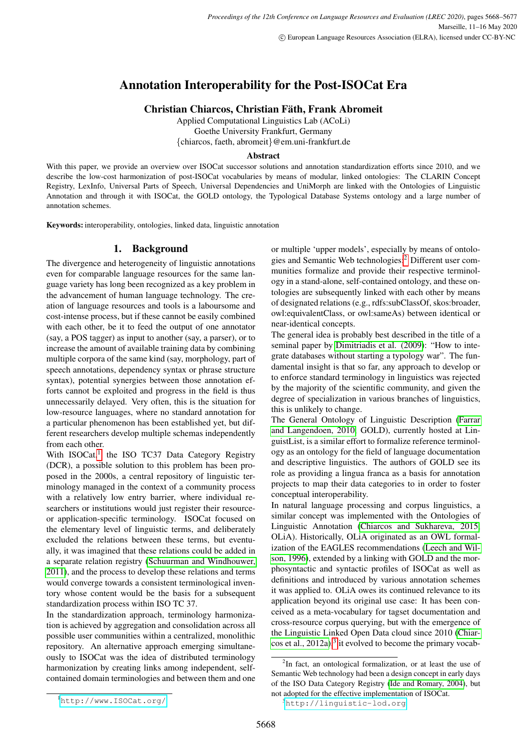# Annotation Interoperability for the Post-ISOCat Era

Christian Chiarcos, Christian Fath, Frank Abromeit ¨

Applied Computational Linguistics Lab (ACoLi) Goethe University Frankfurt, Germany {chiarcos, faeth, abromeit}@em.uni-frankfurt.de

### Abstract

With this paper, we provide an overview over ISOCat successor solutions and annotation standardization efforts since 2010, and we describe the low-cost harmonization of post-ISOCat vocabularies by means of modular, linked ontologies: The CLARIN Concept Registry, LexInfo, Universal Parts of Speech, Universal Dependencies and UniMorph are linked with the Ontologies of Linguistic Annotation and through it with ISOCat, the GOLD ontology, the Typological Database Systems ontology and a large number of annotation schemes.

Keywords: interoperability, ontologies, linked data, linguistic annotation

# 1. Background

The divergence and heterogeneity of linguistic annotations even for comparable language resources for the same language variety has long been recognized as a key problem in the advancement of human language technology. The creation of language resources and tools is a laboursome and cost-intense process, but if these cannot be easily combined with each other, be it to feed the output of one annotator (say, a POS tagger) as input to another (say, a parser), or to increase the amount of available training data by combining multiple corpora of the same kind (say, morphology, part of speech annotations, dependency syntax or phrase structure syntax), potential synergies between those annotation efforts cannot be exploited and progress in the field is thus unnecessarily delayed. Very often, this is the situation for low-resource languages, where no standard annotation for a particular phenomenon has been established yet, but different researchers develop multiple schemas independently from each other.

With ISOCat,<sup>[1](#page-0-0)</sup> the ISO TC37 Data Category Registry (DCR), a possible solution to this problem has been proposed in the 2000s, a central repository of linguistic terminology managed in the context of a community process with a relatively low entry barrier, where individual researchers or institutions would just register their resourceor application-specific terminology. ISOCat focused on the elementary level of linguistic terms, and deliberately excluded the relations between these terms, but eventually, it was imagined that these relations could be added in a separate relation registry [\(Schuurman and Windhouwer,](#page-9-0) [2011\)](#page-9-0), and the process to develop these relations and terms would converge towards a consistent terminological inventory whose content would be the basis for a subsequent standardization process within ISO TC 37.

In the standardization approach, terminology harmonization is achieved by aggregation and consolidation across all possible user communities within a centralized, monolithic repository. An alternative approach emerging simultaneously to ISOCat was the idea of distributed terminology harmonization by creating links among independent, selfcontained domain terminologies and between them and one

or multiple 'upper models', especially by means of ontologies and Semantic Web technologies:[2](#page-0-1) Different user communities formalize and provide their respective terminology in a stand-alone, self-contained ontology, and these ontologies are subsequently linked with each other by means of designated relations (e.g., rdfs:subClassOf, skos:broader, owl:equivalentClass, or owl:sameAs) between identical or near-identical concepts.

The general idea is probably best described in the title of a seminal paper by [Dimitriadis et al. \(2009\)](#page-8-0): "How to integrate databases without starting a typology war". The fundamental insight is that so far, any approach to develop or to enforce standard terminology in linguistics was rejected by the majority of the scientific community, and given the degree of specialization in various branches of linguistics, this is unlikely to change.

The General Ontology of Linguistic Description [\(Farrar](#page-8-1) [and Langendoen, 2010,](#page-8-1) GOLD), currently hosted at LinguistList, is a similar effort to formalize reference terminology as an ontology for the field of language documentation and descriptive linguistics. The authors of GOLD see its role as providing a lingua franca as a basis for annotation projects to map their data categories to in order to foster conceptual interoperability.

In natural language processing and corpus linguistics, a similar concept was implemented with the Ontologies of Linguistic Annotation [\(Chiarcos and Sukhareva, 2015,](#page-8-2) OLiA). Historically, OLiA originated as an OWL formalization of the EAGLES recommendations [\(Leech and Wil](#page-8-3)[son, 1996\)](#page-8-3), extended by a linking with GOLD and the morphosyntactic and syntactic profiles of ISOCat as well as definitions and introduced by various annotation schemes it was applied to. OLiA owes its continued relevance to its application beyond its original use case: It has been conceived as a meta-vocabulary for tagset documentation and cross-resource corpus querying, but with the emergence of the Linguistic Linked Open Data cloud since 2010 [\(Chiar](#page-8-4)cos et al.,  $2012a$ ,<sup>[3](#page-0-2)</sup> it evolved to become the primary vocab-

<span id="page-0-1"></span> $2$ In fact, an ontological formalization, or at least the use of Semantic Web technology had been a design concept in early days of the ISO Data Category Registry [\(Ide and Romary, 2004\)](#page-8-5), but not adopted for the effective implementation of ISOCat.

<span id="page-0-0"></span><sup>1</sup><http://www.ISOCat.org/>

<span id="page-0-2"></span><sup>3</sup><http://linguistic-lod.org>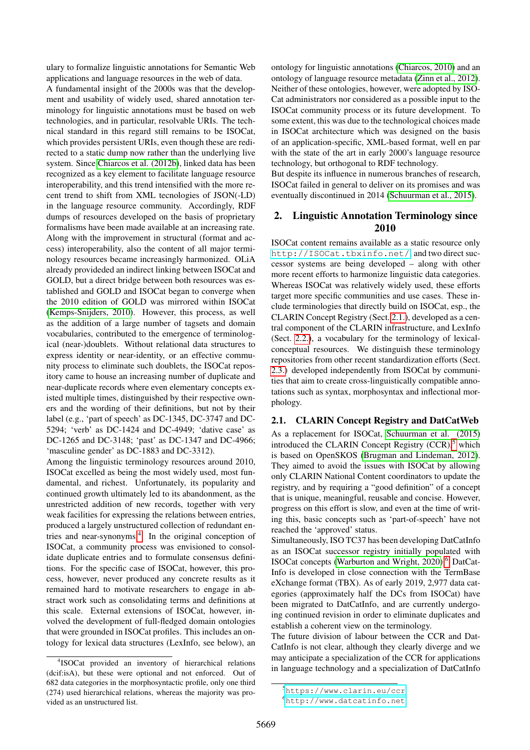ulary to formalize linguistic annotations for Semantic Web applications and language resources in the web of data.

A fundamental insight of the 2000s was that the development and usability of widely used, shared annotation terminology for linguistic annotations must be based on web technologies, and in particular, resolvable URIs. The technical standard in this regard still remains to be ISOCat, which provides persistent URIs, even though these are redirected to a static dump now rather than the underlying live system. Since [Chiarcos et al. \(2012b\)](#page-8-6), linked data has been recognized as a key element to facilitate language resource interoperability, and this trend intensified with the more recent trend to shift from XML tecnologies of JSON(-LD) in the language resource community. Accordingly, RDF dumps of resources developed on the basis of proprietary formalisms have been made available at an increasing rate. Along with the improvement in structural (format and access) interoperability, also the content of all major terminology resources became increasingly harmonized. OLiA already provideded an indirect linking between ISOCat and GOLD, but a direct bridge between both resources was established and GOLD and ISOCat began to converge when the 2010 edition of GOLD was mirrored within ISOCat [\(Kemps-Snijders, 2010\)](#page-8-7). However, this process, as well as the addition of a large number of tagsets and domain vocabularies, contributed to the emergence of terminological (near-)doublets. Without relational data structures to express identity or near-identity, or an effective community process to eliminate such doublets, the ISOCat repository came to house an increasing number of duplicate and near-duplicate records where even elementary concepts existed multiple times, distinguished by their respective owners and the wording of their definitions, but not by their label (e.g., 'part of speech' as DC-1345, DC-3747 and DC-5294; 'verb' as DC-1424 and DC-4949; 'dative case' as DC-1265 and DC-3148; 'past' as DC-1347 and DC-4966; 'masculine gender' as DC-1883 and DC-3312).

Among the linguistic terminology resources around 2010, ISOCat excelled as being the most widely used, most fundamental, and richest. Unfortunately, its popularity and continued growth ultimately led to its abandonment, as the unrestricted addition of new records, together with very weak facilities for expressing the relations between entries, produced a largely unstructured collection of redundant en-tries and near-synonyms.<sup>[4](#page-1-0)</sup> In the original conception of ISOCat, a community process was envisioned to consolidate duplicate entries and to formulate consensus definitions. For the specific case of ISOCat, however, this process, however, never produced any concrete results as it remained hard to motivate researchers to engage in abstract work such as consolidating terms and definitions at this scale. External extensions of ISOCat, however, involved the development of full-fledged domain ontologies that were grounded in ISOCat profiles. This includes an ontology for lexical data structures (LexInfo, see below), an ontology for linguistic annotations [\(Chiarcos, 2010\)](#page-8-8) and an ontology of language resource metadata [\(Zinn et al., 2012\)](#page-9-1). Neither of these ontologies, however, were adopted by ISO-Cat administrators nor considered as a possible input to the ISOCat community process or its future development. To some extent, this was due to the technological choices made in ISOCat architecture which was designed on the basis of an application-specific, XML-based format, well en par with the state of the art in early 2000's language resource technology, but orthogonal to RDF technology.

But despite its influence in numerous branches of research, ISOCat failed in general to deliver on its promises and was eventually discontinued in 2014 [\(Schuurman et al., 2015\)](#page-9-2).

## 2. Linguistic Annotation Terminology since 2010

ISOCat content remains available as a static resource only <http://ISOCat.tbxinfo.net/>, and two direct successor systems are being developed – along with other more recent efforts to harmonize linguistic data categories. Whereas ISOCat was relatively widely used, these efforts target more specific communities and use cases. These include terminologies that directly build on ISOCat, esp., the CLARIN Concept Registry (Sect. [2.1.\)](#page-1-1), developed as a central component of the CLARIN infrastructure, and LexInfo (Sect. [2.2.\)](#page-2-0), a vocabulary for the terminology of lexicalconceptual resources. We distinguish these terminology repositories from other recent standardization efforts (Sect. [2.3.\)](#page-2-1) developed independently from ISOCat by communities that aim to create cross-linguistically compatible annotations such as syntax, morphosyntax and inflectional morphology.

#### <span id="page-1-1"></span>2.1. CLARIN Concept Registry and DatCatWeb

As a replacement for ISOCat, [Schuurman et al. \(2015\)](#page-9-2) introduced the CLARIN Concept Registry  $(CCR)$ ,<sup>[5](#page-1-2)</sup> which is based on OpenSKOS [\(Brugman and Lindeman, 2012\)](#page-8-9). They aimed to avoid the issues with ISOCat by allowing only CLARIN National Content coordinators to update the registry, and by requiring a "good definition" of a concept that is unique, meaningful, reusable and concise. However, progress on this effort is slow, and even at the time of writing this, basic concepts such as 'part-of-speech' have not reached the 'approved' status.

Simultaneously, ISO TC37 has been developing DatCatInfo as an ISOCat successor registry initially populated with ISOCat concepts [\(Warburton and Wright, 2020\)](#page-9-3).<sup>[6](#page-1-3)</sup> DatCat-Info is developed in close connection with the TermBase eXchange format (TBX). As of early 2019, 2,977 data categories (approximately half the DCs from ISOCat) have been migrated to DatCatInfo, and are currently undergoing continued revision in order to eliminate duplicates and establish a coherent view on the terminology.

The future division of labour between the CCR and Dat-CatInfo is not clear, although they clearly diverge and we may anticipate a specialization of the CCR for applications in language technology and a specialization of DatCatInfo

<span id="page-1-0"></span><sup>4</sup> ISOCat provided an inventory of hierarchical relations (dcif:isA), but these were optional and not enforced. Out of 682 data categories in the morphosyntactic profile, only one third (274) used hierarchical relations, whereas the majority was provided as an unstructured list.

<span id="page-1-2"></span><sup>5</sup><https://www.clarin.eu/ccr>

<span id="page-1-3"></span><sup>6</sup><http://www.datcatinfo.net>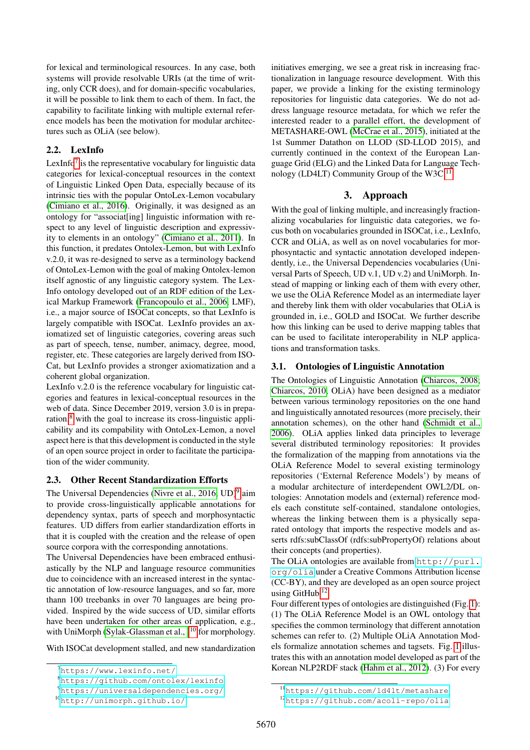for lexical and terminological resources. In any case, both systems will provide resolvable URIs (at the time of writing, only CCR does), and for domain-specific vocabularies, it will be possible to link them to each of them. In fact, the capability to facilitate linking with multiple external reference models has been the motivation for modular architectures such as OLiA (see below).

# <span id="page-2-0"></span>2.2. LexInfo

LexInfo<sup>[7](#page-2-2)</sup> is the representative vocabulary for linguistic data categories for lexical-conceptual resources in the context of Linguistic Linked Open Data, especially because of its intrinsic ties with the popular OntoLex-Lemon vocabulary [\(Cimiano et al., 2016\)](#page-8-10). Originally, it was designed as an ontology for "associat[ing] linguistic information with respect to any level of linguistic description and expressivity to elements in an ontology" [\(Cimiano et al., 2011\)](#page-8-11). In this function, it predates Ontolex-Lemon, but with LexInfo v.2.0, it was re-designed to serve as a terminology backend of OntoLex-Lemon with the goal of making Ontolex-lemon itself agnostic of any linguistic category system. The Lex-Info ontology developed out of an RDF edition of the Lexical Markup Framework [\(Francopoulo et al., 2006,](#page-8-12) LMF), i.e., a major source of ISOCat concepts, so that LexInfo is largely compatible with ISOCat. LexInfo provides an axiomatized set of linguistic categories, covering areas such as part of speech, tense, number, animacy, degree, mood, register, etc. These categories are largely derived from ISO-Cat, but LexInfo provides a stronger axiomatization and a coherent global organization.

LexInfo v.2.0 is the reference vocabulary for linguistic categories and features in lexical-conceptual resources in the web of data. Since December 2019, version 3.0 is in preparation, $8$  with the goal to increase its cross-linguistic applicability and its compability with OntoLex-Lemon, a novel aspect here is that this development is conducted in the style of an open source project in order to facilitate the participation of the wider community.

# <span id="page-2-1"></span>2.3. Other Recent Standardization Efforts

The Universal Dependencies [\(Nivre et al., 2016,](#page-8-13) UD)<sup>[9](#page-2-4)</sup> aim to provide cross-linguistically applicable annotations for dependency syntax, parts of speech and morphosyntactic features. UD differs from earlier standardization efforts in that it is coupled with the creation and the release of open source corpora with the corresponding annotations.

The Universal Dependencies have been embraced enthusiastically by the NLP and language resource communities due to coincidence with an increased interest in the syntactic annotation of low-resource languages, and so far, more thann 100 treebanks in over 70 languages are being provided. Inspired by the wide success of UD, similar efforts have been undertaken for other areas of application, e.g., with UniMorph [\(Sylak-Glassman et al., \)](#page-9-4)<sup>[10](#page-2-5)</sup> for morphology.

With ISOCat development stalled, and new standardization

initiatives emerging, we see a great risk in increasing fractionalization in language resource development. With this paper, we provide a linking for the existing terminology repositories for linguistic data categories. We do not address language resource metadata, for which we refer the interested reader to a parallel effort, the development of METASHARE-OWL [\(McCrae et al., 2015\)](#page-8-14), initiated at the 1st Summer Datathon on LLOD (SD-LLOD 2015), and currently continued in the context of the European Language Grid (ELG) and the Linked Data for Language Tech-nology (LD4LT) Community Group of the W3C.<sup>[11](#page-2-6)</sup>

# 3. Approach

With the goal of linking multiple, and increasingly fractionalizing vocabularies for linguistic data categories, we focus both on vocabularies grounded in ISOCat, i.e., LexInfo, CCR and OLiA, as well as on novel vocabularies for morphosyntactic and syntactic annotation developed independently, i.e., the Universal Dependencies vocabularies (Universal Parts of Speech, UD v.1, UD v.2) and UniMorph. Instead of mapping or linking each of them with every other, we use the OLiA Reference Model as an intermediate layer and thereby link them with older vocabularies that OLiA is grounded in, i.e., GOLD and ISOCat. We further describe how this linking can be used to derive mapping tables that can be used to facilitate interoperability in NLP applications and transformation tasks.

## 3.1. Ontologies of Linguistic Annotation

The Ontologies of Linguistic Annotation [\(Chiarcos, 2008;](#page-8-15) [Chiarcos, 2010,](#page-8-8) OLiA) have been designed as a mediator between various terminology repositories on the one hand and linguistically annotated resources (more precisely, their annotation schemes), on the other hand [\(Schmidt et al.,](#page-9-5) [2006\)](#page-9-5). OLiA applies linked data principles to leverage several distributed terminology repositories: It provides the formalization of the mapping from annotations via the OLiA Reference Model to several existing terminology repositories ('External Reference Models') by means of a modular architecture of interdependent OWL2/DL ontologies: Annotation models and (external) reference models each constitute self-contained, standalone ontologies, whereas the linking between them is a physically separated ontology that imports the respective models and asserts rdfs:subClassOf (rdfs:subPropertyOf) relations about their concepts (and properties).

The OLiA ontologies are available from [http://purl.](http://purl.org/olia) [org/olia](http://purl.org/olia) under a Creative Commons Attribution license (CC-BY), and they are developed as an open source project using GitHub.<sup>[12](#page-2-7)</sup>

Four different types of ontologies are distinguished (Fig. [1\)](#page-3-0): (1) The OLiA Reference Model is an OWL ontology that specifies the common terminology that different annotation schemes can refer to. (2) Multiple OLiA Annotation Models formalize annotation schemes and tagsets. Fig. [1](#page-3-0) illustrates this with an annotation model developed as part of the Korean NLP2RDF stack [\(Hahm et al., 2012\)](#page-8-16). (3) For every

<span id="page-2-2"></span> $^7$ <https://www.lexinfo.net/>

<span id="page-2-3"></span><sup>8</sup><https://github.com/ontolex/lexinfo>

<span id="page-2-4"></span><sup>9</sup><https://universaldependencies.org/>

<span id="page-2-5"></span><sup>10</sup><http://unimorph.github.io/>

<span id="page-2-6"></span><sup>11</sup><https://github.com/ld4lt/metashare>

<span id="page-2-7"></span><sup>12</sup><https://github.com/acoli-repo/olia>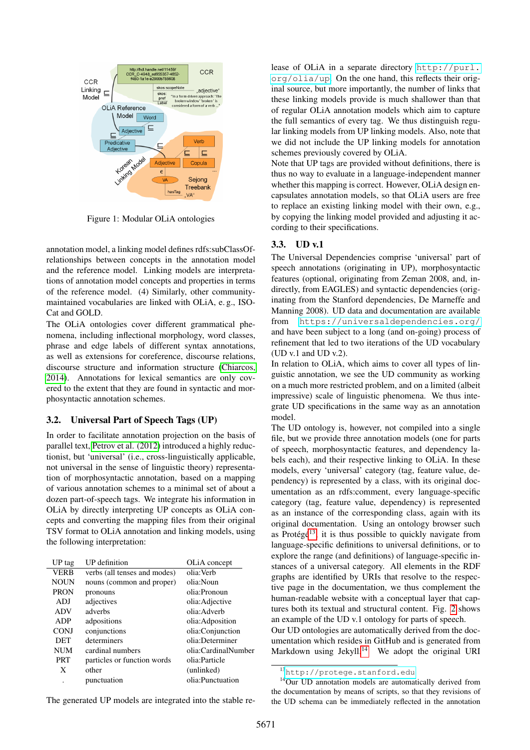

<span id="page-3-0"></span>Figure 1: Modular OLiA ontologies

annotation model, a linking model defines rdfs:subClassOfrelationships between concepts in the annotation model and the reference model. Linking models are interpretations of annotation model concepts and properties in terms of the reference model. (4) Similarly, other communitymaintained vocabularies are linked with OLiA, e. g., ISO-Cat and GOLD.

The OLiA ontologies cover different grammatical phenomena, including inflectional morphology, word classes, phrase and edge labels of different syntax annotations, as well as extensions for coreference, discourse relations, discourse structure and information structure [\(Chiarcos,](#page-8-17) [2014\)](#page-8-17). Annotations for lexical semantics are only covered to the extent that they are found in syntactic and morphosyntactic annotation schemes.

#### 3.2. Universal Part of Speech Tags (UP)

In order to facilitate annotation projection on the basis of parallel text, [Petrov et al. \(2012\)](#page-9-6) introduced a highly reductionist, but 'universal' (i.e., cross-linguistically applicable, not universal in the sense of linguistic theory) representation of morphosyntactic annotation, based on a mapping of various annotation schemes to a minimal set of about a dozen part-of-speech tags. We integrate his information in OLiA by directly interpreting UP concepts as OLiA concepts and converting the mapping files from their original TSV format to OLiA annotation and linking models, using the following interpretation:

| UP tag      | UP definition                | OLiA concept        |
|-------------|------------------------------|---------------------|
| <b>VERB</b> | verbs (all tenses and modes) | olia: Verb          |
| <b>NOUN</b> | nouns (common and proper)    | olia:Noun           |
| <b>PRON</b> | pronouns                     | olia:Pronoun        |
| ADJ         | adjectives                   | olia: Adjective     |
| <b>ADV</b>  | adverbs                      | olia: Adverb        |
| <b>ADP</b>  | adpositions                  | olia:Adposition     |
| <b>CONJ</b> | conjunctions                 | olia:Conjunction    |
| <b>DET</b>  | determiners                  | olia:Determiner     |
| <b>NUM</b>  | cardinal numbers             | olia:CardinalNumber |
| <b>PRT</b>  | particles or function words  | olia:Particle       |
| X           | other                        | (unlinked)          |
|             | punctuation                  | olia: Punctuation   |
|             |                              |                     |

lease of OLiA in a separate directory [http://purl.](http://purl.org/olia/up) [org/olia/up](http://purl.org/olia/up). On the one hand, this reflects their original source, but more importantly, the number of links that these linking models provide is much shallower than that of regular OLiA annotation models which aim to capture the full semantics of every tag. We thus distinguish regular linking models from UP linking models. Also, note that we did not include the UP linking models for annotation schemes previously covered by OLiA.

Note that UP tags are provided without definitions, there is thus no way to evaluate in a language-independent manner whether this mapping is correct. However, OLiA design encapsulates annotation models, so that OLiA users are free to replace an existing linking model with their own, e.g., by copying the linking model provided and adjusting it according to their specifications.

### 3.3. UD v.1

The Universal Dependencies comprise 'universal' part of speech annotations (originating in UP), morphosyntactic features (optional, originating from Zeman 2008, and, indirectly, from EAGLES) and syntactic dependencies (originating from the Stanford dependencies, De Marneffe and Manning 2008). UD data and documentation are available from <https://universaldependencies.org/> and have been subject to a long (and on-going) process of refinement that led to two iterations of the UD vocabulary (UD v.1 and UD v.2).

In relation to OLiA, which aims to cover all types of linguistic annotation, we see the UD community as working on a much more restricted problem, and on a limited (albeit impressive) scale of linguistic phenomena. We thus integrate UD specifications in the same way as an annotation model.

The UD ontology is, however, not compiled into a single file, but we provide three annotation models (one for parts of speech, morphosyntactic features, and dependency labels each), and their respective linking to OLiA. In these models, every 'universal' category (tag, feature value, dependency) is represented by a class, with its original documentation as an rdfs:comment, every language-specific category (tag, feature value, dependency) is represented as an instance of the corresponding class, again with its original documentation. Using an ontology browser such as Protégé<sup>[13](#page-3-1)</sup>, it is thus possible to quickly navigate from language-specific definitions to universal definitions, or to explore the range (and definitions) of language-specific instances of a universal category. All elements in the RDF graphs are identified by URIs that resolve to the respective page in the documentation, we thus complement the human-readable website with a conceptual layer that captures both its textual and structural content. Fig. [2](#page-4-0) shows an example of the UD v.1 ontology for parts of speech.

Our UD ontologies are automatically derived from the documentation which resides in GitHub and is generated from Markdown using Jekyll. $14$  We adopt the original URI

The generated UP models are integrated into the stable re-

<span id="page-3-2"></span><span id="page-3-1"></span><sup>13</sup><http://protege.stanford.edu>

<sup>&</sup>lt;sup>14</sup>Our UD annotation models are automatically derived from the documentation by means of scripts, so that they revisions of the UD schema can be immediately reflected in the annotation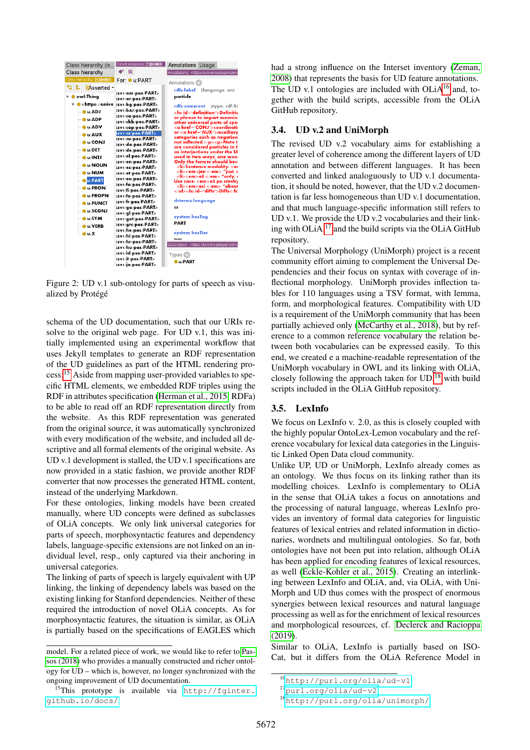| Class hierarchy (in                                    | Direct instances: 200908                                      | <b>Annotations Usage</b>                                                                                 |
|--------------------------------------------------------|---------------------------------------------------------------|----------------------------------------------------------------------------------------------------------|
| Class hierarchy                                        | $\bullet$ $\otimes$                                           | Annotations: < https://universaldependent                                                                |
| Class hierarchy: <b>2008</b>                           | For ● u:PART                                                  | Annotations -                                                                                            |
| til G.   XAsserted -<br>v– ● owl:Thing                 | :sv1/am/pos/PART><br>:sv1/ar/pos/PART>                        | rdfs:label<br>[language: en]<br>particle                                                                 |
| v- ● <https: unive<br=""><b>COMMENCE</b></https:>      | :svi/bg/pos/PART><br>:sv1/bxr/pos/PART>                       | rdfs:comment<br>Itype: rdf:XI<br><h3 id="definition">Definitic</h3>                                      |
| — O u:ADP<br>$\bullet$ $\bullet$ ADV                   | :sv1/ca/pos/PART><br>:sv1/ckb/pos/PART><br>:sv1/cop/pos/PART> | or phrase to impart meaning<br>other universal parts of sper<br><a href="CONJ">coordinatii</a>           |
| <b>DEL AUX</b>                                         | sv1/cs/pos/PART><br>:sv1/cu/pos/PART>                         | or <a href="AUX">auxiliary<br/>categories such as negation</a>                                           |
| <b>DECON</b><br>— ● u:DET                              | :sv1/da/pos/PART><br>:sv1/de/pos/PART>                        | not inflected. <p>Note t<br/>are considered particles in th<br/>as interjections under the UI</p>        |
| — O …INTJ<br><b>O</b> U:NOUN                           | :sv1/el/pos/PART><br>:sv1/en/pos/PART><br>:sv1/es/pos/PART>   | used in two ways, one wou<br>Only the former should bec<br><li>Sentence modality: <er< th=""></er<></li> |
| $\bullet$ u:NUM<br><b>DU:PART</b>                      | :sv1/et/pos/PART><br>:sv1/eu/pos/PART>                        | <li><em>jen </em> "just, o<br/><li><em>až </em> "only, a<br/>Use case: <em>až po stovky</em></li></li>   |
| <b>OUPRON</b><br><b>COLLER OPN</b>                     | :sv1/fa/pos/PART><br>:sv1/fi/pos/PART><br>:sv1/fo/pos/PART>   | <li><em>asi</em> "about<br/><h2 id="diffs">Diffs</h2></li>                                               |
| $\bullet$ $\bullet$ PUNCT<br>$\bullet$ $\bullet$ SCONJ | :sv1/fr/pos/PART><br>:sv1/ga/pos/PART>                        | dcterms: language<br>cs                                                                                  |
| $-$ 0 $-$ SYM                                          | :sv1/gl/pos/PART><br>:sv1/got/pos/PART><br>:sv1/grc/pos/PART> | system:hasTag<br>PART                                                                                    |
| <b>DEL</b> VERB<br>— o u:X                             | :svi/he/pos/PART><br>:sv1/hi/pos/PART>                        | system: has Tier<br>nos                                                                                  |
|                                                        | :sv1/hr/pos/PART><br>:sv1/hu/pos/PART>                        | Description: < https://universaldependenc                                                                |
|                                                        | :svi/id/pos/PART><br>:svi/it/pos/PART><br>:sv1/ja/pos/PART>   | Types <sup>[1]</sup><br><b>O</b> u:PART                                                                  |

<span id="page-4-0"></span>Figure 2: UD v.1 sub-ontology for parts of speech as visualized by Protégé

schema of the UD documentation, such that our URIs resolve to the original web page. For UD v.1, this was initially implemented using an experimental workflow that uses Jekyll templates to generate an RDF representation of the UD guidelines as part of the HTML rendering process:[15](#page-4-1) Aside from mapping user-provided variables to specific HTML elements, we embedded RDF triples using the RDF in attributes specification [\(Herman et al., 2015,](#page-8-18) RDFa) to be able to read off an RDF representation directly from the website. As this RDF representation was generated from the original source, it was automatically synchronized with every modification of the website, and included all descriptive and all formal elements of the original website. As UD v.1 development is stalled, the UD v.1 specifications are now provided in a static fashion, we provide another RDF converter that now processes the generated HTML content, instead of the underlying Markdown.

For these ontologies, linking models have been created manually, where UD concepts were defined as subclasses of OLiA concepts. We only link universal categories for parts of speech, morphosyntactic features and dependency labels, language-specific extensions are not linked on an individual level, resp., only captured via their anchoring in universal categories.

The linking of parts of speech is largely equivalent with UP linking, the linking of dependency labels was based on the existing linking for Stanford dependencies. Neither of these required the introduction of novel OLiA concepts. As for morphosyntactic features, the situation is similar, as OLiA is partially based on the specifications of EAGLES which had a strong influence on the Interset inventory [\(Zeman,](#page-9-8) [2008\)](#page-9-8) that represents the basis for UD feature annotations. The UD v.1 ontologies are included with  $OLiA<sup>16</sup>$  $OLiA<sup>16</sup>$  $OLiA<sup>16</sup>$  and, together with the build scripts, accessible from the OLiA GitHub repository.

### 3.4. UD v.2 and UniMorph

The revised UD v.2 vocabulary aims for establishing a greater level of coherence among the different layers of UD annotation and between different languages. It has been converted and linked analoguously to UD v.1 documentation, it should be noted, however, that the UD v.2 documentation is far less homogeneous than UD v.1 documentation, and that much language-specific information still refers to UD v.1. We provide the UD v.2 vocabularies and their linking with  $OLiA$ ,<sup>[17](#page-4-3)</sup> and the build scripts via the OLiA GitHub repository.

The Universal Morphology (UniMorph) project is a recent community effort aiming to complement the Universal Dependencies and their focus on syntax with coverage of inflectional morphology. UniMorph provides inflection tables for 110 languages using a TSV format, with lemma, form, and morphological features. Compatibility with UD is a requirement of the UniMorph community that has been partially achieved only [\(McCarthy et al., 2018\)](#page-8-19), but by reference to a common reference vocabulary the relation between both vocabularies can be expressed easily. To this end, we created e a machine-readable representation of the UniMorph vocabulary in OWL and its linking with OLiA, closely following the approach taken for  $UD<sub>18</sub>$  $UD<sub>18</sub>$  $UD<sub>18</sub>$  with build scripts included in the OLiA GitHub repository.

# 3.5. LexInfo

We focus on LexInfo v. 2.0, as this is closely coupled with the highly popular OntoLex-Lemon vocabulary and the reference vocabulary for lexical data categories in the Linguistic Linked Open Data cloud community.

Unlike UP, UD or UniMorph, LexInfo already comes as an ontology. We thus focus on its linking rather than its modelling choices. LexInfo is complementary to OLiA in the sense that OLiA takes a focus on annotations and the processing of natural language, whereas LexInfo provides an inventory of formal data categories for linguistic features of lexical entries and related information in dictionaries, wordnets and multilingual ontologies. So far, both ontologies have not been put into relation, although OLiA has been applied for encoding features of lexical resources, as well [\(Eckle-Kohler et al., 2015\)](#page-8-20). Creating an interlinking between LexInfo and OLiA, and, via OLiA, with Uni-Morph and UD thus comes with the prospect of enormous synergies between lexical resources and natural language processing as well as for the enrichment of lexical resources and morphological resources, cf. [Declerck and Racioppa](#page-8-21) [\(2019\)](#page-8-21).

Similar to OLiA, LexInfo is partially based on ISO-Cat, but it differs from the OLiA Reference Model in

model. For a related piece of work, we would like to refer to [Pas](#page-9-7)[sos \(2018\)](#page-9-7) who provides a manually constructed and richer ontology for UD – which is, however, no longer synchronized with the ongoing improvement of UD documentation.

<span id="page-4-1"></span><sup>15</sup>This prototype is available via [http://fginter.](http://fginter.github.io/docs/) [github.io/docs/](http://fginter.github.io/docs/).

<span id="page-4-2"></span><sup>16</sup><http://purl.org/olia/ud-v1>

<span id="page-4-3"></span><sup>17</sup><purl.org/olia/ud-v2>

<span id="page-4-4"></span><sup>18</sup><http://purl.org/olia/unimorph/>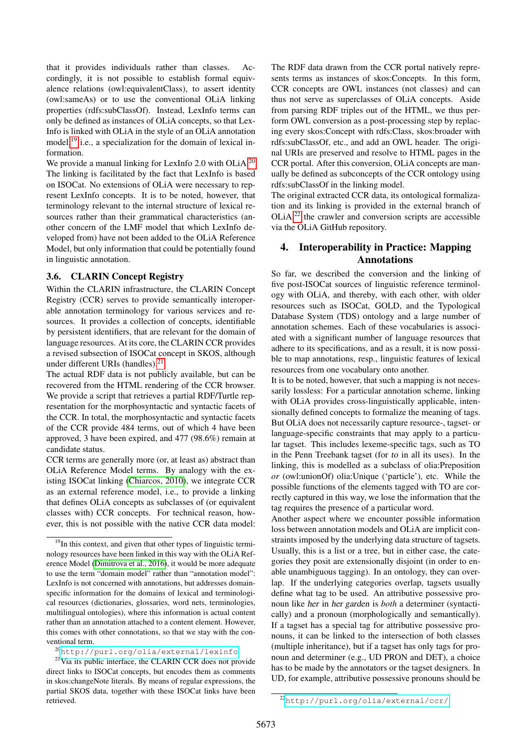that it provides individuals rather than classes. Accordingly, it is not possible to establish formal equivalence relations (owl:equivalentClass), to assert identity (owl:sameAs) or to use the conventional OLiA linking properties (rdfs:subClassOf). Instead, LexInfo terms can only be defined as instances of OLiA concepts, so that Lex-Info is linked with OLiA in the style of an OLiA annotation model,<sup>[19](#page-5-0)</sup> i.e., a specialization for the domain of lexical information.

We provide a manual linking for LexInfo 2.0 with OLiA.<sup>[20](#page-5-1)</sup> The linking is facilitated by the fact that LexInfo is based on ISOCat. No extensions of OLiA were necessary to represent LexInfo concepts. It is to be noted, however, that terminology relevant to the internal structure of lexical resources rather than their grammatical characteristics (another concern of the LMF model that which LexInfo developed from) have not been added to the OLiA Reference Model, but only information that could be potentially found in linguistic annotation.

### 3.6. CLARIN Concept Registry

Within the CLARIN infrastructure, the CLARIN Concept Registry (CCR) serves to provide semantically interoperable annotation terminology for various services and resources. It provides a collection of concepts, identifiable by persistent identifiers, that are relevant for the domain of language resources. At its core, the CLARIN CCR provides a revised subsection of ISOCat concept in SKOS, although under different URIs (handles).<sup>[21](#page-5-2)</sup>

The actual RDF data is not publicly available, but can be recovered from the HTML rendering of the CCR browser. We provide a script that retrieves a partial RDF/Turtle representation for the morphosyntactic and syntactic facets of the CCR. In total, the morphosyntactic and syntactic facets of the CCR provide 484 terms, out of which 4 have been approved, 3 have been expired, and 477 (98.6%) remain at candidate status.

CCR terms are generally more (or, at least as) abstract than OLiA Reference Model terms. By analogy with the existing ISOCat linking [\(Chiarcos, 2010\)](#page-8-8), we integrate CCR as an external reference model, i.e., to provide a linking that defines OLiA concepts as subclasses of (or equivalent classes with) CCR concepts. For technical reason, however, this is not possible with the native CCR data model:

<span id="page-5-2"></span><span id="page-5-1"></span><sup>20</sup><http://purl.org/olia/external/lexinfo>

The RDF data drawn from the CCR portal natively represents terms as instances of skos:Concepts. In this form, CCR concepts are OWL instances (not classes) and can thus not serve as superclasses of OLiA concepts. Aside from parsing RDF triples out of the HTML, we thus perform OWL conversion as a post-processing step by replacing every skos:Concept with rdfs:Class, skos:broader with rdfs:subClassOf, etc., and add an OWL header. The original URIs are preserved and resolve to HTML pages in the CCR portal. After this conversion, OLiA concepts are manually be defined as subconcepts of the CCR ontology using rdfs:subClassOf in the linking model.

The original extracted CCR data, its ontological formalization and its linking is provided in the external branch of  $OLiA<sub>1</sub><sup>22</sup>$  $OLiA<sub>1</sub><sup>22</sup>$  $OLiA<sub>1</sub><sup>22</sup>$  the crawler and conversion scripts are accessible via the OLiA GitHub repository.

# 4. Interoperability in Practice: Mapping Annotations

So far, we described the conversion and the linking of five post-ISOCat sources of linguistic reference terminology with OLiA, and thereby, with each other, with older resources such as ISOCat, GOLD, and the Typological Database System (TDS) ontology and a large number of annotation schemes. Each of these vocabularies is associated with a significant number of language resources that adhere to its specifications, and as a result, it is now possible to map annotations, resp., linguistic features of lexical resources from one vocabulary onto another.

It is to be noted, however, that such a mapping is not necessarily lossless: For a particular annotation scheme, linking with OLiA provides cross-linguistically applicable, intensionally defined concepts to formalize the meaning of tags. But OLiA does not necessarily capture resource-, tagset- or language-specific constraints that may apply to a particular tagset. This includes lexeme-specific tags, such as TO in the Penn Treebank tagset (for to in all its uses). In the linking, this is modelled as a subclass of olia:Preposition *or* (owl:unionOf) olia:Unique ('particle'), etc. While the possible functions of the elements tagged with TO are correctly captured in this way, we lose the information that the tag requires the presence of a particular word.

Another aspect where we encounter possible information loss between annotation models and OLiA are implicit constraints imposed by the underlying data structure of tagsets. Usually, this is a list or a tree, but in either case, the categories they posit are extensionally disjoint (in order to enable unambiguous tagging). In an ontology, they can overlap. If the underlying categories overlap, tagsets usually define what tag to be used. An attributive possessive pronoun like her in her garden is *both* a determiner (syntactically) and a pronoun (morphologically and semantically). If a tagset has a special tag for attributive possessive pronouns, it can be linked to the intersection of both classes (multiple inheritance), but if a tagset has only tags for pronoun and determiner (e.g., UD PRON and DET), a choice has to be made by the annotators or the tagset designers. In UD, for example, attributive possessive pronouns should be

<span id="page-5-0"></span><sup>&</sup>lt;sup>19</sup>In this context, and given that other types of linguistic terminology resources have been linked in this way with the OLiA Reference Model [\(Dimitrova et al., 2016\)](#page-8-22), it would be more adequate to use the term "domain model" rather than "annotation model": LexInfo is not concerned with annotations, but addresses domainspecific information for the domains of lexical and terminological resources (dictionaries, glossaries, word nets, terminologies, multilingual ontologies), where this information is actual content rather than an annotation attached to a content element. However, this comes with other connotations, so that we stay with the conventional term.

<sup>&</sup>lt;sup>21</sup>Via its public interface, the CLARIN CCR does not provide direct links to ISOCat concepts, but encodes them as comments in skos:changeNote literals. By means of regular expressions, the partial SKOS data, together with these ISOCat links have been retrieved.

<span id="page-5-3"></span><sup>22</sup><http://purl.org/olia/external/ccr/>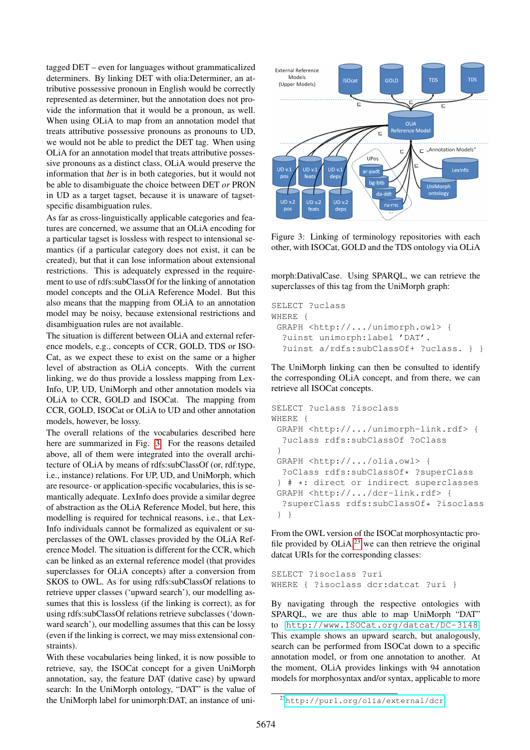tagged DET – even for languages without grammaticalized determiners. By linking DET with olia:Determiner, an attributive possessive pronoun in English would be correctly represented as determiner, but the annotation does not provide the information that it would be a pronoun, as well. When using OLiA to map from an annotation model that treats attributive possessive pronouns as pronouns to UD, we would not be able to predict the DET tag. When using OLiA for an annotation model that treats attributive possessive pronouns as a distinct class, OLiA would preserve the information that her is in both categories, but it would not be able to disambiguate the choice between DET *or* PRON in UD as a target tagset, because it is unaware of tagsetspecific disambiguation rules.

As far as cross-linguistically applicable categories and features are concerned, we assume that an OLiA encoding for a particular tagset is lossless with respect to intensional semantics (if a particular category does not exist, it can be created), but that it can lose information about extensional restrictions. This is adequately expressed in the requirement to use of rdfs:subClassOf for the linking of annotation model concepts and the OLiA Reference Model. But this also means that the mapping from OLiA to an annotation model may be noisy, because extensional restrictions and disambiguation rules are not available.

The situation is different between OLiA and external reference models, e.g., concepts of CCR, GOLD, TDS or ISO-Cat, as we expect these to exist on the same or a higher level of abstraction as OLiA concepts. With the current linking, we do thus provide a lossless mapping from Lex-Info, UP, UD, UniMorph and other annotation models via OLiA to CCR, GOLD and ISOCat. The mapping from CCR, GOLD, ISOCat or OLiA to UD and other annotation models, however, be lossy.

The overall relations of the vocabularies described here here are summarized in Fig. [3.](#page-6-0) For the reasons detailed above, all of them were integrated into the overall architecture of OLiA by means of rdfs:subClassOf (or, rdf:type, i.e., instance) relations. For UP, UD, and UniMorph, which are resource- or application-specific vocabularies, this is semantically adequate. LexInfo does provide a similar degree of abstraction as the OLiA Reference Model, but here, this modelling is required for technical reasons, i.e., that Lex-Info individuals cannot be formalized as equivalent or superclasses of the OWL classes provided by the OLiA Reference Model. The situation is different for the CCR, which can be linked as an external reference model (that provides superclasses for OLiA concepts) after a conversion from SKOS to OWL. As for using rdfs:subClassOf relations to retrieve upper classes ('upward search'), our modelling assumes that this is lossless (if the linking is correct), as for using rdfs:subClassOf relations retrieve subclasses ('downward search'), our modelling assumes that this can be lossy (even if the linking is correct, we may miss extensional constraints).

With these vocabularies being linked, it is now possible to retrieve, say, the ISOCat concept for a given UniMorph annotation, say, the feature DAT (dative case) by upward search: In the UniMorph ontology, "DAT" is the value of the UniMorph label for unimorph:DAT, an instance of uni-



<span id="page-6-0"></span>Figure 3: Linking of terminology repositories with each other, with ISOCat, GOLD and the TDS ontology via OLiA

morph:DativalCase. Using SPARQL, we can retrieve the superclasses of this tag from the UniMorph graph:

```
SELECT ?uclass
WHERE {
 GRAPH <http://.../unimorph.owl> {
  ?uinst unimorph:label 'DAT'.
  ?uinst a/rdfs:subClassOf+ ?uclass. } }
```
The UniMorph linking can then be consulted to identify the corresponding OLiA concept, and from there, we can retrieve all ISOCat concepts.

```
SELECT ?uclass ?isoclass
WHERE {
 GRAPH <http://.../unimorph-link.rdf> {
  ?uclass rdfs:subClassOf ?oClass
 }
 GRAPH <http://.../olia.owl> {
  ?oClass rdfs:subClassOf* ?superClass
 } # *: direct or indirect superclasses
 GRAPH <http://.../dcr-link.rdf> {
  ?superClass rdfs:subClassOf* ?isoclass
 } }
```
From the OWL version of the ISOCat morphosyntactic profile provided by  $OLiA<sup>23</sup>$  $OLiA<sup>23</sup>$  $OLiA<sup>23</sup>$  we can then retrieve the original datcat URIs for the corresponding classes:

```
SELECT ?isoclass ?uri
WHERE { ?isoclass dcr:datcat ?uri }
```
By navigating through the respective ontologies with SPARQL, we are thus able to map UniMorph "DAT" to <http://www.ISOCat.org/datcat/DC-3148>. This example shows an upward search, but analogously, search can be performed from ISOCat down to a specific annotation model, or from one annotation to another. At the moment, OLiA provides linkings with 94 annotation models for morphosyntax and/or syntax, applicable to more

<span id="page-6-1"></span><sup>23</sup><http://purl.org/olia/external/dcr>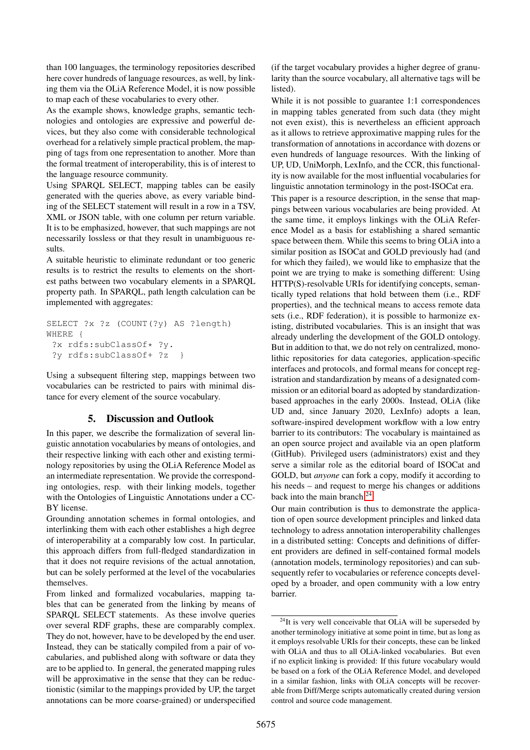than 100 languages, the terminology repositories described here cover hundreds of language resources, as well, by linking them via the OLiA Reference Model, it is now possible to map each of these vocabularies to every other.

As the example shows, knowledge graphs, semantic technologies and ontologies are expressive and powerful devices, but they also come with considerable technological overhead for a relatively simple practical problem, the mapping of tags from one representation to another. More than the formal treatment of interoperability, this is of interest to the language resource community.

Using SPARQL SELECT, mapping tables can be easily generated with the queries above, as every variable binding of the SELECT statement will result in a row in a TSV, XML or JSON table, with one column per return variable. It is to be emphasized, however, that such mappings are not necessarily lossless or that they result in unambiguous results.

A suitable heuristic to eliminate redundant or too generic results is to restrict the results to elements on the shortest paths between two vocabulary elements in a SPARQL property path. In SPARQL, path length calculation can be implemented with aggregates:

```
SELECT ?x ?z (COUNT(?y) AS ?length)
WHERE {
 ?x rdfs:subClassOf* ?y.
 ?y rdfs:subClassOf+ ?z }
```
Using a subsequent filtering step, mappings between two vocabularies can be restricted to pairs with minimal distance for every element of the source vocabulary.

# 5. Discussion and Outlook

In this paper, we describe the formalization of several linguistic annotation vocabularies by means of ontologies, and their respective linking with each other and existing terminology repositories by using the OLiA Reference Model as an intermediate representation. We provide the corresponding ontologies, resp. with their linking models, together with the Ontologies of Linguistic Annotations under a CC-BY license.

Grounding annotation schemes in formal ontologies, and interlinking them with each other establishes a high degree of interoperability at a comparably low cost. In particular, this approach differs from full-fledged standardization in that it does not require revisions of the actual annotation, but can be solely performed at the level of the vocabularies themselves.

From linked and formalized vocabularies, mapping tables that can be generated from the linking by means of SPARQL SELECT statements. As these involve queries over several RDF graphs, these are comparably complex. They do not, however, have to be developed by the end user. Instead, they can be statically compiled from a pair of vocabularies, and published along with software or data they are to be applied to. In general, the generated mapping rules will be approximative in the sense that they can be reductionistic (similar to the mappings provided by UP, the target annotations can be more coarse-grained) or underspecified (if the target vocabulary provides a higher degree of granularity than the source vocabulary, all alternative tags will be listed).

While it is not possible to guarantee 1:1 correspondences in mapping tables generated from such data (they might not even exist), this is nevertheless an efficient approach as it allows to retrieve approximative mapping rules for the transformation of annotations in accordance with dozens or even hundreds of language resources. With the linking of UP, UD, UniMorph, LexInfo, and the CCR, this functionality is now available for the most influential vocabularies for linguistic annotation terminology in the post-ISOCat era.

This paper is a resource description, in the sense that mappings between various vocabularies are being provided. At the same time, it employs linkings with the OLiA Reference Model as a basis for establishing a shared semantic space between them. While this seems to bring OLiA into a similar position as ISOCat and GOLD previously had (and for which they failed), we would like to emphasize that the point we are trying to make is something different: Using HTTP(S)-resolvable URIs for identifying concepts, semantically typed relations that hold between them (i.e., RDF properties), and the technical means to access remote data sets (i.e., RDF federation), it is possible to harmonize existing, distributed vocabularies. This is an insight that was already underling the development of the GOLD ontology. But in addition to that, we do not rely on centralized, monolithic repositories for data categories, application-specific interfaces and protocols, and formal means for concept registration and standardization by means of a designated commission or an editorial board as adopted by standardizationbased approaches in the early 2000s. Instead, OLiA (like UD and, since January 2020, LexInfo) adopts a lean, software-inspired development workflow with a low entry barrier to its contributors: The vocabulary is maintained as an open source project and available via an open platform (GitHub). Privileged users (administrators) exist and they serve a similar role as the editorial board of ISOCat and GOLD, but *anyone* can fork a copy, modify it according to his needs – and request to merge his changes or additions back into the main branch.<sup>[24](#page-7-0)</sup>

Our main contribution is thus to demonstrate the application of open source development principles and linked data technology to adress annotation interoperability challenges in a distributed setting: Concepts and definitions of different providers are defined in self-contained formal models (annotation models, terminology repositories) and can subsequently refer to vocabularies or reference concepts developed by a broader, and open community with a low entry barrier.

<span id="page-7-0"></span> $24$ It is very well conceivable that OLiA will be superseded by another terminology initiative at some point in time, but as long as it employs resolvable URIs for their concepts, these can be linked with OLiA and thus to all OLiA-linked vocabularies. But even if no explicit linking is provided: If this future vocabulary would be based on a fork of the OLiA Reference Model, and developed in a similar fashion, links with OLiA concepts will be recoverable from Diff/Merge scripts automatically created during version control and source code management.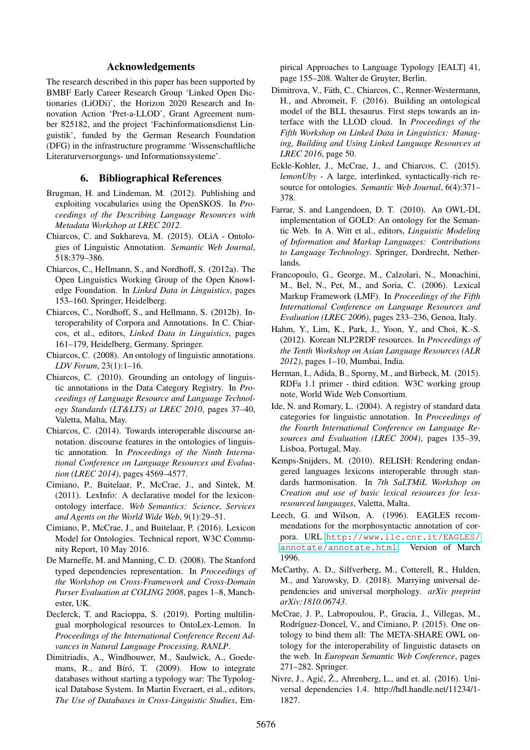### Acknowledgements

The research described in this paper has been supported by BMBF Early Career Research Group 'Linked Open Dictionaries (LiODi)', the Horizon 2020 Research and Innovation Action 'Pret-a-LLOD', Grant Agreement number 825182, and the project 'Fachinformationsdienst Linguistik', funded by the German Research Foundation (DFG) in the infrastructure programme 'Wissenschaftliche Literaturversorgungs- und Informationssysteme'.

### 6. Bibliographical References

- <span id="page-8-9"></span>Brugman, H. and Lindeman, M. (2012). Publishing and exploiting vocabularies using the OpenSKOS. In *Proceedings of the Describing Language Resources with Metadata Workshop at LREC 2012*.
- <span id="page-8-2"></span>Chiarcos, C. and Sukhareva, M. (2015). OLiA - Ontologies of Linguistic Annotation. *Semantic Web Journal*, 518:379–386.
- <span id="page-8-4"></span>Chiarcos, C., Hellmann, S., and Nordhoff, S. (2012a). The Open Linguistics Working Group of the Open Knowledge Foundation. In *Linked Data in Linguistics*, pages 153–160. Springer, Heidelberg.
- <span id="page-8-6"></span>Chiarcos, C., Nordhoff, S., and Hellmann, S. (2012b). Interoperability of Corpora and Annotations. In C. Chiarcos, et al., editors, *Linked Data in Linguistics*, pages 161–179, Heidelberg, Germany. Springer.
- <span id="page-8-15"></span>Chiarcos, C. (2008). An ontology of linguistic annotations. *LDV Forum*, 23(1):1–16.
- <span id="page-8-8"></span>Chiarcos, C. (2010). Grounding an ontology of linguistic annotations in the Data Category Registry. In *Proceedings of Language Resource and Language Technology Standards (LT&LTS) at LREC 2010*, pages 37-40, Valetta, Malta, May.
- <span id="page-8-17"></span>Chiarcos, C. (2014). Towards interoperable discourse annotation. discourse features in the ontologies of linguistic annotation. In *Proceedings of the Ninth International Conference on Language Resources and Evaluation (LREC 2014)*, pages 4569–4577.
- <span id="page-8-11"></span>Cimiano, P., Buitelaar, P., McCrae, J., and Sintek, M. (2011). LexInfo: A declarative model for the lexiconontology interface. *Web Semantics: Science, Services and Agents on the World Wide Web*, 9(1):29–51.
- <span id="page-8-10"></span>Cimiano, P., McCrae, J., and Buitelaar, P. (2016). Lexicon Model for Ontologies. Technical report, W3C Community Report, 10 May 2016.
- De Marneffe, M. and Manning, C. D. (2008). The Stanford typed dependencies representation. In *Proceedings of the Workshop on Cross-Framework and Cross-Domain Parser Evaluation at COLING 2008*, pages 1–8, Manchester, UK.
- <span id="page-8-21"></span>Declerck, T. and Racioppa, S. (2019). Porting multilingual morphological resources to OntoLex-Lemon. In *Proceedings of the International Conference Recent Advances in Natural Language Processing, RANLP*.
- <span id="page-8-0"></span>Dimitriadis, A., Windhouwer, M., Saulwick, A., Goedemans, R., and Bíró, T.  $(2009)$ . How to integrate databases without starting a typology war: The Typological Database System. In Martin Everaert, et al., editors, *The Use of Databases in Cross-Linguistic Studies*, Em-

pirical Approaches to Language Typology [EALT] 41, page 155–208. Walter de Gruyter, Berlin.

- <span id="page-8-22"></span>Dimitrova, V., Fäth, C., Chiarcos, C., Renner-Westermann, H., and Abromeit, F. (2016). Building an ontological model of the BLL thesaurus. First steps towards an interface with the LLOD cloud. In *Proceedings of the Fifth Workshop on Linked Data in Linguistics: Managing, Building and Using Linked Language Resources at LREC 2016*, page 50.
- <span id="page-8-20"></span>Eckle-Kohler, J., McCrae, J., and Chiarcos, C. (2015). *lemonUby* - A large, interlinked, syntactically-rich resource for ontologies. *Semantic Web Journal*, 6(4):371– 378.
- <span id="page-8-1"></span>Farrar, S. and Langendoen, D. T. (2010). An OWL-DL implementation of GOLD: An ontology for the Semantic Web. In A. Witt et al., editors, *Linguistic Modeling of Information and Markup Languages: Contributions to Language Technology*. Springer, Dordrecht, Netherlands.
- <span id="page-8-12"></span>Francopoulo, G., George, M., Calzolari, N., Monachini, M., Bel, N., Pet, M., and Soria, C. (2006). Lexical Markup Framework (LMF). In *Proceedings of the Fifth International Conference on Language Resources and Evaluation (LREC 2006)*, pages 233–236, Genoa, Italy.
- <span id="page-8-16"></span>Hahm, Y., Lim, K., Park, J., Yoon, Y., and Choi, K.-S. (2012). Korean NLP2RDF resources. In *Proceedings of the Tenth Workshop on Asian Language Resources (ALR 2012)*, pages 1–10, Mumbai, India.
- <span id="page-8-18"></span>Herman, I., Adida, B., Sporny, M., and Birbeck, M. (2015). RDFa 1.1 primer - third edition. W3C working group note, World Wide Web Consortium.
- <span id="page-8-5"></span>Ide, N. and Romary, L. (2004). A registry of standard data categories for linguistic annotation. In *Proceedings of the Fourth International Conference on Language Resources and Evaluation (LREC 2004)*, pages 135–39, Lisboa, Portugal, May.
- <span id="page-8-7"></span>Kemps-Snijders, M. (2010). RELISH: Rendering endangered languages lexicons interoperable through standards harmonisation. In *7th SaLTMiL Workshop on Creation and use of basic lexical resources for lessresourced languages*, Valetta, Malta.
- <span id="page-8-3"></span>Leech, G. and Wilson, A. (1996). EAGLES recommendations for the morphosyntactic annotation of corpora. URL [http://www.ilc.cnr.it/EAGLES/](http://www.ilc.cnr.it/EAGLES/annotate/annotate.html) [annotate/annotate.html](http://www.ilc.cnr.it/EAGLES/annotate/annotate.html). Version of March 1996.
- <span id="page-8-19"></span>McCarthy, A. D., Silfverberg, M., Cotterell, R., Hulden, M., and Yarowsky, D. (2018). Marrying universal dependencies and universal morphology. *arXiv preprint arXiv:1810.06743*.
- <span id="page-8-14"></span>McCrae, J. P., Labropoulou, P., Gracia, J., Villegas, M., Rodríguez-Doncel, V., and Cimiano, P. (2015). One ontology to bind them all: The META-SHARE OWL ontology for the interoperability of linguistic datasets on the web. In *European Semantic Web Conference*, pages 271–282. Springer.
- <span id="page-8-13"></span>Nivre, J., Agić,  $\check{Z}$ ., Ahrenberg, L., and et. al. (2016). Universal dependencies 1.4. http://hdl.handle.net/11234/1- 1827.